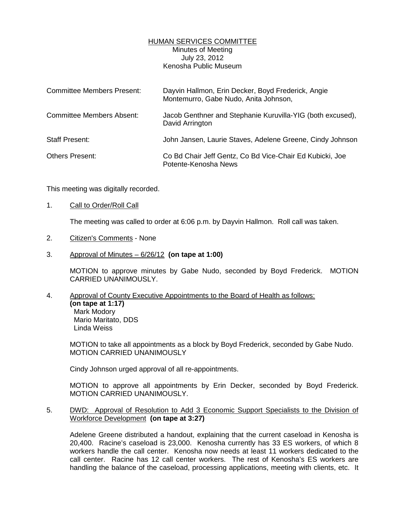## HUMAN SERVICES COMMITTEE Minutes of Meeting July 23, 2012 Kenosha Public Museum

| <b>Committee Members Present:</b> | Dayvin Hallmon, Erin Decker, Boyd Frederick, Angie<br>Montemurro, Gabe Nudo, Anita Johnson, |
|-----------------------------------|---------------------------------------------------------------------------------------------|
| <b>Committee Members Absent:</b>  | Jacob Genthner and Stephanie Kuruvilla-YIG (both excused),<br>David Arrington               |
| <b>Staff Present:</b>             | John Jansen, Laurie Staves, Adelene Greene, Cindy Johnson                                   |
| <b>Others Present:</b>            | Co Bd Chair Jeff Gentz, Co Bd Vice-Chair Ed Kubicki, Joe<br>Potente-Kenosha News            |

This meeting was digitally recorded.

1. Call to Order/Roll Call

The meeting was called to order at 6:06 p.m. by Dayvin Hallmon. Roll call was taken.

- 2. Citizen's Comments None
- 3. Approval of Minutes 6/26/12 **(on tape at 1:00)**

 MOTION to approve minutes by Gabe Nudo, seconded by Boyd Frederick. MOTION CARRIED UNANIMOUSLY.

4. Approval of County Executive Appointments to the Board of Health as follows: **(on tape at 1:17)**  Mark Modory Mario Maritato, DDS Linda Weiss

 MOTION to take all appointments as a block by Boyd Frederick, seconded by Gabe Nudo. MOTION CARRIED UNANIMOUSLY

Cindy Johnson urged approval of all re-appointments.

 MOTION to approve all appointments by Erin Decker, seconded by Boyd Frederick. MOTION CARRIED UNANIMOUSLY.

5. DWD: Approval of Resolution to Add 3 Economic Support Specialists to the Division of Workforce Development **(on tape at 3:27)**

 Adelene Greene distributed a handout, explaining that the current caseload in Kenosha is 20,400. Racine's caseload is 23,000. Kenosha currently has 33 ES workers, of which 8 workers handle the call center. Kenosha now needs at least 11 workers dedicated to the call center. Racine has 12 call center workers. The rest of Kenosha's ES workers are handling the balance of the caseload, processing applications, meeting with clients, etc. It